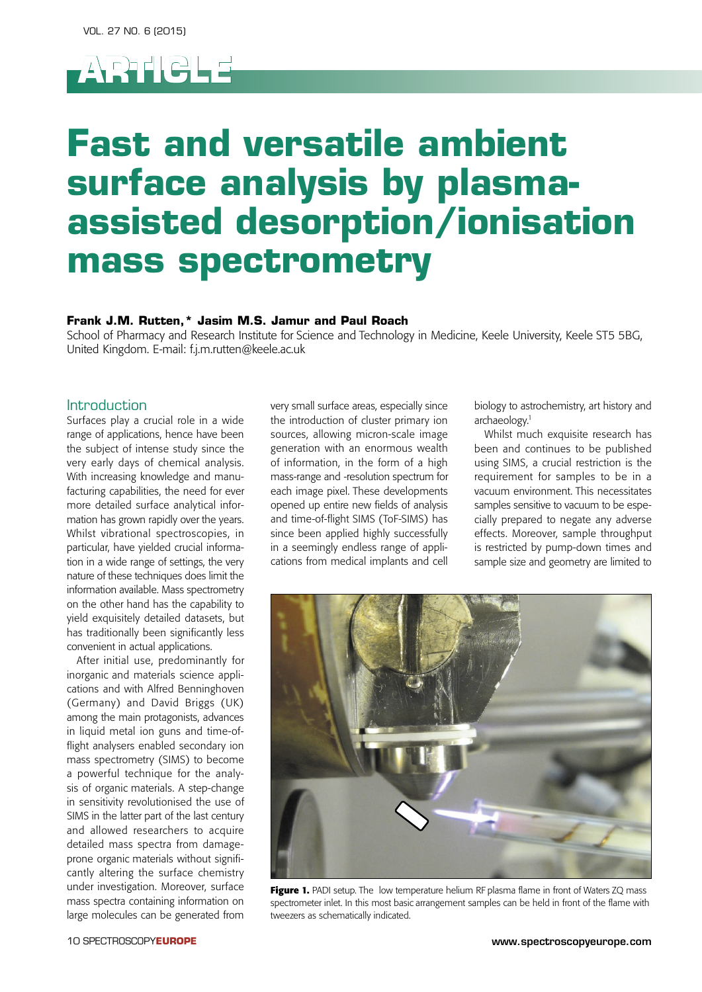

# **Fast and versatile ambient surface analysis by plasmaassisted desorption/ionisation mass spectrometry**

### **Frank J.M. Rutten,\* Jasim M.S. Jamur and Paul Roach**

School of Pharmacy and Research Institute for Science and Technology in Medicine, Keele University, Keele ST5 5BG, United Kingdom. E-mail: f.j.m.rutten@keele.ac.uk

#### Introduction

Surfaces play a crucial role in a wide range of applications, hence have been the subject of intense study since the very early days of chemical analysis. With increasing knowledge and manufacturing capabilities, the need for ever more detailed surface analytical information has grown rapidly over the years. Whilst vibrational spectroscopies, in particular, have yielded crucial information in a wide range of settings, the very nature of these techniques does limit the information available. Mass spectrometry on the other hand has the capability to yield exquisitely detailed datasets, but has traditionally been significantly less convenient in actual applications.

After initial use, predominantly for inorganic and materials science applications and with Alfred Benninghoven (Germany) and David Briggs (UK) among the main protagonists, advances in liquid metal ion guns and time-offlight analysers enabled secondary ion mass spectrometry (SIMS) to become a powerful technique for the analysis of organic materials. A step-change in sensitivity revolutionised the use of SIMS in the latter part of the last century and allowed researchers to acquire detailed mass spectra from damageprone organic materials without significantly altering the surface chemistry under investigation. Moreover, surface mass spectra containing information on large molecules can be generated from

very small surface areas, especially since the introduction of cluster primary ion sources, allowing micron-scale image generation with an enormous wealth of information, in the form of a high mass-range and -resolution spectrum for each image pixel. These developments opened up entire new fields of analysis and time-of-flight SIMS (ToF-SIMS) has since been applied highly successfully in a seemingly endless range of applications from medical implants and cell biology to astrochemistry, art history and archaeology.<sup>1</sup>

Whilst much exquisite research has been and continues to be published using SIMS, a crucial restriction is the requirement for samples to be in a vacuum environment. This necessitates samples sensitive to vacuum to be especially prepared to negate any adverse effects. Moreover, sample throughput is restricted by pump-down times and sample size and geometry are limited to



Figure 1. PADI setup. The low temperature helium RF plasma flame in front of Waters ZQ mass spectrometer inlet. In this most basic arrangement samples can be held in front of the flame with tweezers as schematically indicated.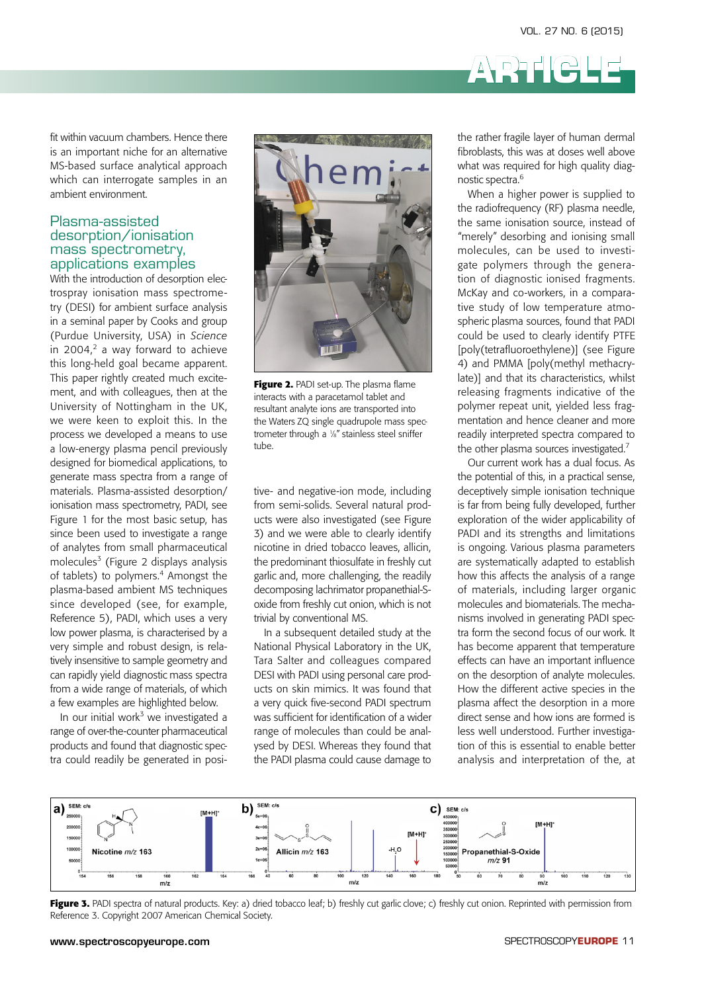fit within vacuum chambers. Hence there is an important niche for an alternative MS-based surface analytical approach which can interrogate samples in an ambient environment.

#### Plasma-assisted desorption/ionisation mass spectrometry, applications examples

With the introduction of desorption electrospray ionisation mass spectrometry (DESI) for ambient surface analysis in a seminal paper by Cooks and group (Purdue University, USA) in *Science* in 2004, $2$  a way forward to achieve this long-held goal became apparent. This paper rightly created much excitement, and with colleagues, then at the University of Nottingham in the UK, we were keen to exploit this. In the process we developed a means to use a low-energy plasma pencil previously designed for biomedical applications, to generate mass spectra from a range of materials. Plasma-assisted desorption/ ionisation mass spectrometry, PADI, see Figure 1 for the most basic setup, has since been used to investigate a range of analytes from small pharmaceutical molecules<sup>3</sup> (Figure 2 displays analysis of tablets) to polymers.<sup>4</sup> Amongst the plasma-based ambient MS techniques since developed (see, for example, Reference 5), PADI, which uses a very low power plasma, is characterised by a very simple and robust design, is relatively insensitive to sample geometry and can rapidly yield diagnostic mass spectra from a wide range of materials, of which a few examples are highlighted below.

In our initial work<sup>3</sup> we investigated a range of over-the-counter pharmaceutical products and found that diagnostic spectra could readily be generated in posi-



**Figure 2.** PADI set-up. The plasma flame interacts with a paracetamol tablet and **interaction interacts** with a paracetamol tablet and resultant analyte ions are transported into the Waters ZQ single quadrupole mass spectrometer through a 1/8" stainless steel sniffer tube.

tive- and negative-ion mode, including from semi-solids. Several natural prod- is far from bein ucts were also investigated (see Figure 3) and we were able to clearly identify nicotine in dried tobacco leaves, allicin, the predominant thiosulfate in freshly cut garlic and, more challenging, the readily how this affects the ana o<br>decomposing lachrimator propanethial-S- of materials, includin oxide from freshly cut onion, which is not  $t$ rivial by conventional MS. decomposing iachimiator propanetinal-5- of Triaterials, including

In a subsequent detailed study at the National Physical Laboratory in the UK, Tara Salter and colleagues compared DESI with PADI using personal care prod ucts on skin mimics. It was found that a few examples are highlighted below. The very quick five-second PADI spectrum a plasma affect the desorption in a was sufficient for identification of a wider range of over-the-counter pharmaceutical and the was sumediated in the mineral of the Waters Connect sense and now to be a<br>Transported into the Waters Zange of molecules than could be analysed by DESI. Whereas they found that the PADI plasma could cause damage to

the rather fragile layer of human dermal fibroblasts, this was at doses well above what was required for high quality diagnostic spectra.6

**ARTICLE**

When a higher power is supplied to the radiofrequency (RF) plasma needle, the same ionisation source, instead of "merely" desorbing and ionising small molecules, can be used to investigate polymers through the generation of diagnostic ionised fragments. McKay and co-workers, in a comparative study of low temperature atmospheric plasma sources, found that PADI could be used to clearly identify PTFE [poly(tetrafluoroethylene)] (see Figure 4) and PMMA [poly(methyl methacrylate)] and that its characteristics, whilst releasing fragments indicative of the polymer repeat unit, yielded less fragmentation and hence cleaner and more readily interpreted spectra compared to the other plasma sources investigated.<sup>7</sup>

Our current work has a dual focus. As the potential of this, in a practical sense, deceptively simple ionisation technique is far from being fully developed, further exploration of the wider applicability of PADI and its strengths and limitations is ongoing. Various plasma parameters are systematically adapted to establish how this affects the analysis of a range of materials, including larger organic molecules and biomaterials. The mechanisms involved in generating PADI spectra form the second focus of our work. It has become apparent that temperature effects can have an important influence on the desorption of analyte molecules. How the different active species in the plasma affect the desorption in a more direct sense and how ions are formed is less well understood. Further investigation of this is essential to enable better analysis and interpretation of the, at



**Figure 3:** PADI spectra of natural products. Key: a) and abdacto idar, by nestiny car game clove, c) nestiny car omon. Reprinter.<br>Reference 3. Copyright 2007 American Chemical Society. **Figure 3.** PADI spectra of natural products. Key: a) dried tobacco leaf; b) freshly cut garlic clove; c) freshly cut onion. Reprinted with permission from